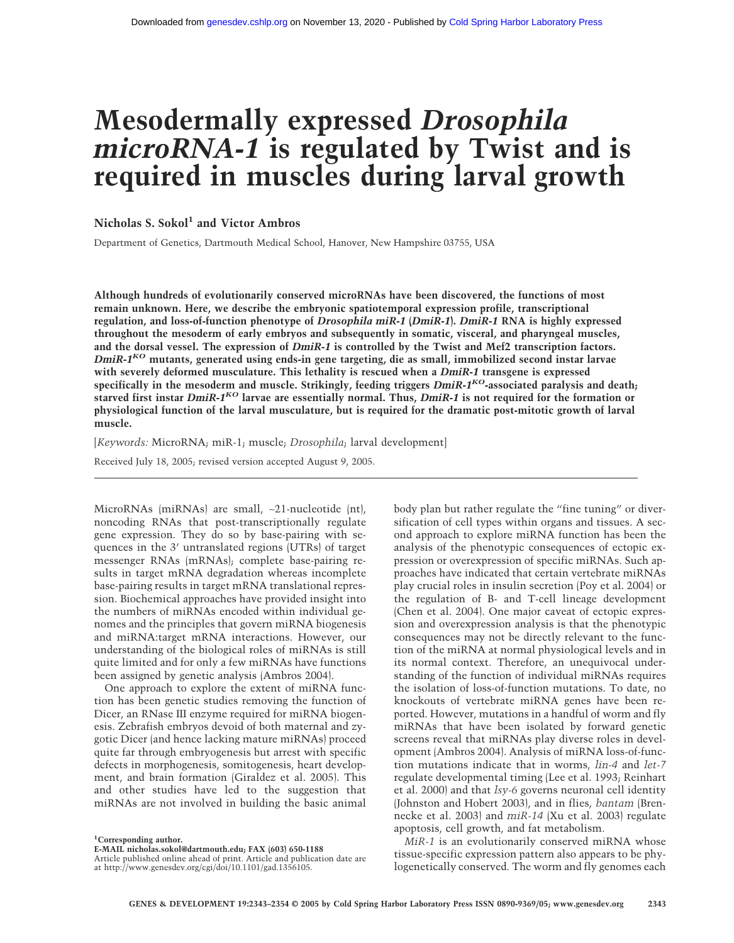# **Mesodermally expressed** *Drosophila microRNA-1* **is regulated by Twist and is required in muscles during larval growth**

# **Nicholas S. Sokol1 and Victor Ambros**

Department of Genetics, Dartmouth Medical School, Hanover, New Hampshire 03755, USA

**Although hundreds of evolutionarily conserved microRNAs have been discovered, the functions of most remain unknown. Here, we describe the embryonic spatiotemporal expression profile, transcriptional regulation, and loss-of-function phenotype of** *Drosophila miR-1* **(***DmiR-1***).** *DmiR-1* **RNA is highly expressed throughout the mesoderm of early embryos and subsequently in somatic, visceral, and pharyngeal muscles, and the dorsal vessel. The expression of** *DmiR-1* **is controlled by the Twist and Mef2 transcription factors.** *DmiR-1KO* **mutants, generated using ends-in gene targeting, die as small, immobilized second instar larvae with severely deformed musculature. This lethality is rescued when a** *DmiR-1* **transgene is expressed specifically in the mesoderm and muscle. Strikingly, feeding triggers** *DmiR-1KO***-associated paralysis and death; starved first instar** *DmiR-1KO* **larvae are essentially normal. Thus,** *DmiR-1* **is not required for the formation or physiological function of the larval musculature, but is required for the dramatic post-mitotic growth of larval muscle.**

[*Keywords:* MicroRNA; miR-1; muscle; *Drosophila*; larval development]

Received July 18, 2005; revised version accepted August 9, 2005.

MicroRNAs (miRNAs) are small, ∼21-nucleotide (nt), noncoding RNAs that post-transcriptionally regulate gene expression. They do so by base-pairing with sequences in the 3' untranslated regions (UTRs) of target messenger RNAs (mRNAs); complete base-pairing results in target mRNA degradation whereas incomplete base-pairing results in target mRNA translational repression. Biochemical approaches have provided insight into the numbers of miRNAs encoded within individual genomes and the principles that govern miRNA biogenesis and miRNA:target mRNA interactions. However, our understanding of the biological roles of miRNAs is still quite limited and for only a few miRNAs have functions been assigned by genetic analysis (Ambros 2004).

One approach to explore the extent of miRNA function has been genetic studies removing the function of Dicer, an RNase III enzyme required for miRNA biogenesis. Zebrafish embryos devoid of both maternal and zygotic Dicer (and hence lacking mature miRNAs) proceed quite far through embryogenesis but arrest with specific defects in morphogenesis, somitogenesis, heart development, and brain formation (Giraldez et al. 2005). This and other studies have led to the suggestion that miRNAs are not involved in building the basic animal

**1 Corresponding author.**

body plan but rather regulate the "fine tuning" or diversification of cell types within organs and tissues. A second approach to explore miRNA function has been the analysis of the phenotypic consequences of ectopic expression or overexpression of specific miRNAs. Such approaches have indicated that certain vertebrate miRNAs play crucial roles in insulin secretion (Poy et al. 2004) or the regulation of B- and T-cell lineage development (Chen et al. 2004). One major caveat of ectopic expression and overexpression analysis is that the phenotypic consequences may not be directly relevant to the function of the miRNA at normal physiological levels and in its normal context. Therefore, an unequivocal understanding of the function of individual miRNAs requires the isolation of loss-of-function mutations. To date, no knockouts of vertebrate miRNA genes have been reported. However, mutations in a handful of worm and fly miRNAs that have been isolated by forward genetic screens reveal that miRNAs play diverse roles in development (Ambros 2004). Analysis of miRNA loss-of-function mutations indicate that in worms, *lin-4* and *let-7* regulate developmental timing (Lee et al. 1993; Reinhart et al. 2000) and that *lsy-6* governs neuronal cell identity (Johnston and Hobert 2003), and in flies, *bantam* (Brennecke et al. 2003) and *miR-14* (Xu et al. 2003) regulate apoptosis, cell growth, and fat metabolism.

*MiR-1* is an evolutionarily conserved miRNA whose tissue-specific expression pattern also appears to be phylogenetically conserved. The worm and fly genomes each

**E-MAIL nicholas.sokol@dartmouth.edu; FAX (603) 650-1188**

Article published online ahead of print. Article and publication date are at http://www.genesdev.org/cgi/doi/10.1101/gad.1356105.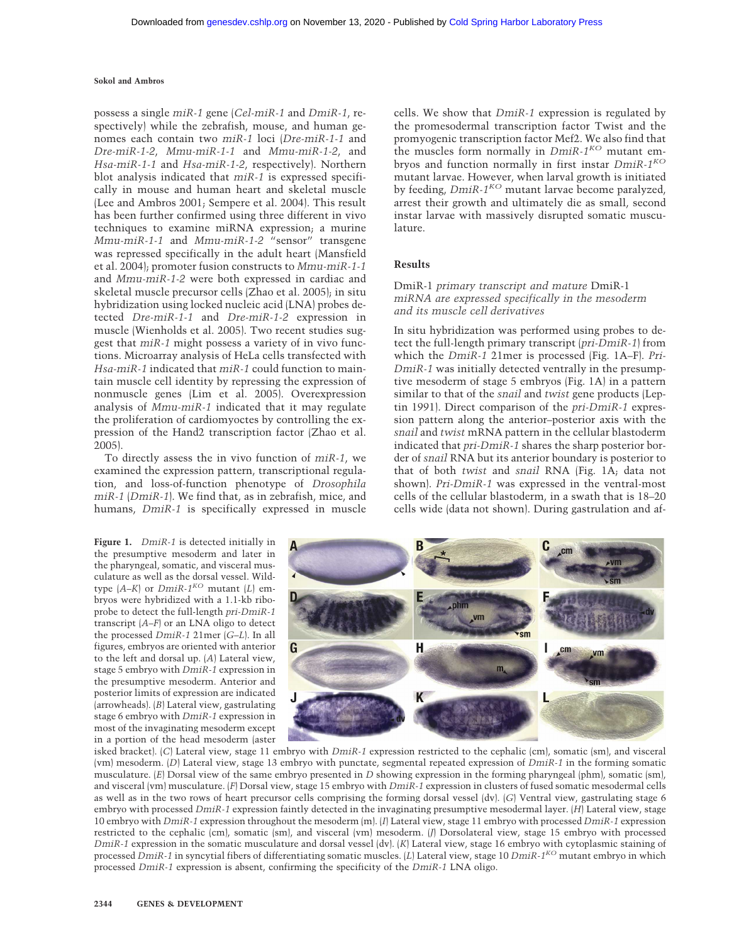possess a single *miR-1* gene (*Cel-miR-1* and *DmiR-1*, respectively) while the zebrafish, mouse, and human genomes each contain two *miR-1* loci (*Dre-miR-1-1* and *Dre-miR-1-2*, *Mmu-miR-1-1* and *Mmu-miR-1-2*, and *Hsa-miR-1-1* and *Hsa-miR-1-2*, respectively). Northern blot analysis indicated that *miR-1* is expressed specifically in mouse and human heart and skeletal muscle (Lee and Ambros 2001; Sempere et al. 2004). This result has been further confirmed using three different in vivo techniques to examine miRNA expression; a murine *Mmu-miR-1-1* and *Mmu-miR-1-2* "sensor" transgene was repressed specifically in the adult heart (Mansfield et al. 2004); promoter fusion constructs to *Mmu-miR-1-1* and *Mmu-miR-1-2* were both expressed in cardiac and skeletal muscle precursor cells (Zhao et al. 2005); in situ hybridization using locked nucleic acid (LNA) probes detected *Dre-miR-1-1* and *Dre-miR-1-2* expression in muscle (Wienholds et al. 2005). Two recent studies suggest that *miR-1* might possess a variety of in vivo functions. Microarray analysis of HeLa cells transfected with *Hsa-miR-1* indicated that *miR-1* could function to maintain muscle cell identity by repressing the expression of nonmuscle genes (Lim et al. 2005). Overexpression analysis of *Mmu-miR-1* indicated that it may regulate the proliferation of cardiomyoctes by controlling the expression of the Hand2 transcription factor (Zhao et al. 2005).

To directly assess the in vivo function of *miR-1*, we examined the expression pattern, transcriptional regulation, and loss-of-function phenotype of *Drosophila miR-1* (*DmiR-1*). We find that, as in zebrafish, mice, and humans, *DmiR-1* is specifically expressed in muscle

**Figure 1.** *DmiR-1* is detected initially in the presumptive mesoderm and later in the pharyngeal, somatic, and visceral musculature as well as the dorsal vessel. Wildtype  $(A-K)$  or  $DmiR-1^{KO}$  mutant  $(L)$  embryos were hybridized with a 1.1-kb riboprobe to detect the full-length *pri-DmiR-1* transcript (*A*–*F*) or an LNA oligo to detect the processed *DmiR-1* 21mer (*G*–*L*). In all figures, embryos are oriented with anterior to the left and dorsal up. (*A*) Lateral view, stage 5 embryo with *DmiR-1* expression in the presumptive mesoderm. Anterior and posterior limits of expression are indicated (arrowheads). (*B*) Lateral view, gastrulating stage 6 embryo with *DmiR-1* expression in most of the invaginating mesoderm except in a portion of the head mesoderm (aster cells. We show that *DmiR-1* expression is regulated by the promesodermal transcription factor Twist and the promyogenic transcription factor Mef2. We also find that the muscles form normally in *DmiR-1KO* mutant embryos and function normally in first instar *DmiR-1KO* mutant larvae. However, when larval growth is initiated by feeding, *DmiR-1KO* mutant larvae become paralyzed, arrest their growth and ultimately die as small, second instar larvae with massively disrupted somatic musculature.

# **Results**

# DmiR-1 *primary transcript and mature* DmiR-1 *miRNA are expressed specifically in the mesoderm and its muscle cell derivatives*

In situ hybridization was performed using probes to detect the full-length primary transcript (*pri-DmiR-1*) from which the *DmiR-1* 21mer is processed (Fig. 1A–F). *Pri-DmiR-1* was initially detected ventrally in the presumptive mesoderm of stage 5 embryos (Fig. 1A) in a pattern similar to that of the *snail* and *twist* gene products (Leptin 1991). Direct comparison of the *pri-DmiR-1* expression pattern along the anterior–posterior axis with the *snail* and *twist* mRNA pattern in the cellular blastoderm indicated that *pri-DmiR-1* shares the sharp posterior border of *snail* RNA but its anterior boundary is posterior to that of both *twist* and *snail* RNA (Fig. 1A; data not shown). *Pri-DmiR-1* was expressed in the ventral-most cells of the cellular blastoderm, in a swath that is 18–20 cells wide (data not shown). During gastrulation and af-



isked bracket). (*C*) Lateral view, stage 11 embryo with *DmiR-1* expression restricted to the cephalic (cm), somatic (sm), and visceral (vm) mesoderm. (*D*) Lateral view, stage 13 embryo with punctate, segmental repeated expression of *DmiR-1* in the forming somatic musculature. (*E*) Dorsal view of the same embryo presented in *D* showing expression in the forming pharyngeal (phm), somatic (sm), and visceral (vm) musculature. (*F*) Dorsal view, stage 15 embryo with *DmiR-1* expression in clusters of fused somatic mesodermal cells as well as in the two rows of heart precursor cells comprising the forming dorsal vessel (dv). (*G*) Ventral view, gastrulating stage 6 embryo with processed *DmiR-1* expression faintly detected in the invaginating presumptive mesodermal layer. (*H*) Lateral view, stage 10 embryo with *DmiR-1* expression throughout the mesoderm (m). (*I*) Lateral view, stage 11 embryo with processed *DmiR-1* expression restricted to the cephalic (cm), somatic (sm), and visceral (vm) mesoderm. (*J*) Dorsolateral view, stage 15 embryo with processed *DmiR-1* expression in the somatic musculature and dorsal vessel (dv). (*K*) Lateral view, stage 16 embryo with cytoplasmic staining of processed *DmiR-1* in syncytial fibers of differentiating somatic muscles. (*L*) Lateral view, stage 10 *DmiR-1KO* mutant embryo in which processed *DmiR-1* expression is absent, confirming the specificity of the *DmiR-1* LNA oligo.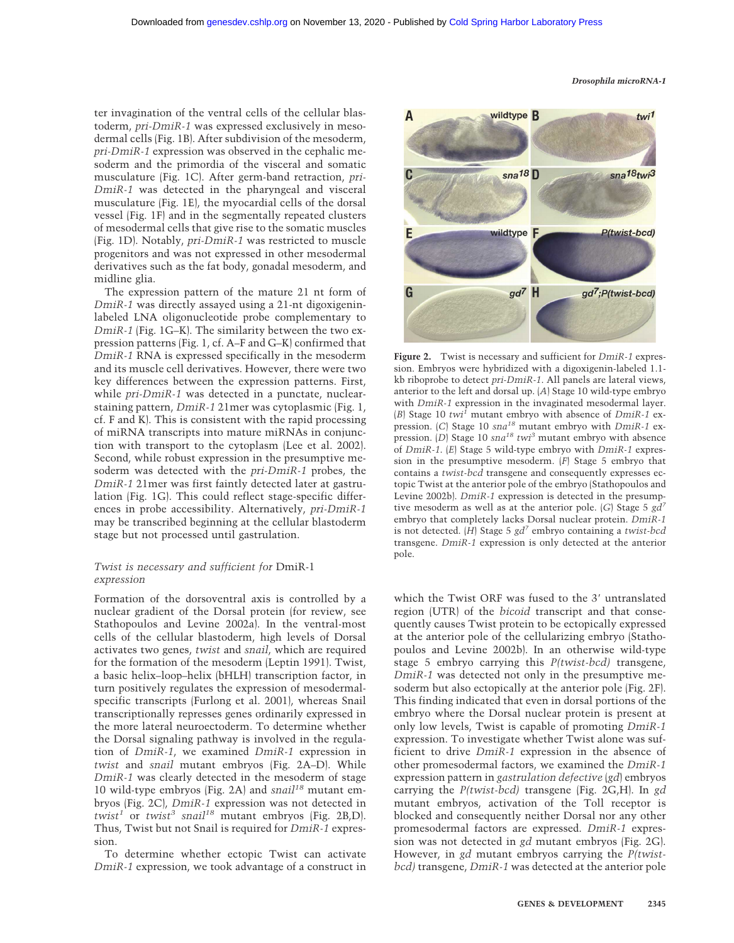ter invagination of the ventral cells of the cellular blastoderm, *pri-DmiR-1* was expressed exclusively in mesodermal cells (Fig. 1B). After subdivision of the mesoderm, *pri-DmiR-1* expression was observed in the cephalic mesoderm and the primordia of the visceral and somatic musculature (Fig. 1C). After germ-band retraction, *pri-DmiR-1* was detected in the pharyngeal and visceral musculature (Fig. 1E), the myocardial cells of the dorsal vessel (Fig. 1F) and in the segmentally repeated clusters of mesodermal cells that give rise to the somatic muscles (Fig. 1D). Notably, *pri-DmiR-1* was restricted to muscle progenitors and was not expressed in other mesodermal derivatives such as the fat body, gonadal mesoderm, and midline glia.

The expression pattern of the mature 21 nt form of *DmiR-1* was directly assayed using a 21-nt digoxigeninlabeled LNA oligonucleotide probe complementary to *DmiR-1* (Fig. 1G–K). The similarity between the two expression patterns (Fig. 1, cf. A–F and G–K) confirmed that *DmiR-1* RNA is expressed specifically in the mesoderm and its muscle cell derivatives. However, there were two key differences between the expression patterns. First, while *pri-DmiR-1* was detected in a punctate, nuclearstaining pattern, *DmiR-1* 21mer was cytoplasmic (Fig. 1, cf. F and K). This is consistent with the rapid processing of miRNA transcripts into mature miRNAs in conjunction with transport to the cytoplasm (Lee et al. 2002). Second, while robust expression in the presumptive mesoderm was detected with the *pri-DmiR-1* probes, the *DmiR-1* 21mer was first faintly detected later at gastrulation (Fig. 1G). This could reflect stage-specific differences in probe accessibility. Alternatively, *pri-DmiR-1* may be transcribed beginning at the cellular blastoderm stage but not processed until gastrulation.

# *Twist is necessary and sufficient for* DmiR-1 *expression*

Formation of the dorsoventral axis is controlled by a nuclear gradient of the Dorsal protein (for review, see Stathopoulos and Levine 2002a). In the ventral-most cells of the cellular blastoderm, high levels of Dorsal activates two genes, *twist* and *snail*, which are required for the formation of the mesoderm (Leptin 1991). Twist, a basic helix–loop–helix (bHLH) transcription factor, in turn positively regulates the expression of mesodermalspecific transcripts (Furlong et al. 2001), whereas Snail transcriptionally represses genes ordinarily expressed in the more lateral neuroectoderm. To determine whether the Dorsal signaling pathway is involved in the regulation of *DmiR-1*, we examined *DmiR-1* expression in *twist* and *snail* mutant embryos (Fig. 2A–D). While *DmiR-1* was clearly detected in the mesoderm of stage 10 wild-type embryos (Fig. 2A) and *snail18* mutant embryos (Fig. 2C), *DmiR-1* expression was not detected in *twist1* or *twist3 snail18* mutant embryos (Fig. 2B,D). Thus, Twist but not Snail is required for *DmiR-1* expression.

To determine whether ectopic Twist can activate *DmiR-1* expression, we took advantage of a construct in



**Figure 2.** Twist is necessary and sufficient for *DmiR-1* expression. Embryos were hybridized with a digoxigenin-labeled 1.1 kb riboprobe to detect *pri-DmiR-1*. All panels are lateral views, anterior to the left and dorsal up. (*A*) Stage 10 wild-type embryo with *DmiR-1* expression in the invaginated mesodermal layer. (*B*) Stage 10 *twi<sup>1</sup>* mutant embryo with absence of *DmiR-1* expression. (*C*) Stage 10 *sna<sup>18</sup>* mutant embryo with *DmiR-1* expression. (*D*) Stage 10 *sna<sup>18</sup> twi<sup>3</sup>* mutant embryo with absence of *DmiR-1*. (*E*) Stage 5 wild-type embryo with *DmiR-1* expression in the presumptive mesoderm. (*F*) Stage 5 embryo that contains a *twist-bcd* transgene and consequently expresses ectopic Twist at the anterior pole of the embryo (Stathopoulos and Levine 2002b). *DmiR-1* expression is detected in the presumptive mesoderm as well as at the anterior pole. (*G*) Stage 5 *gd7* embryo that completely lacks Dorsal nuclear protein. *DmiR-1* is not detected. (*H*) Stage 5 *gd7* embryo containing a *twist-bcd* transgene. *DmiR-1* expression is only detected at the anterior pole.

which the Twist ORF was fused to the 3' untranslated region (UTR) of the *bicoid* transcript and that consequently causes Twist protein to be ectopically expressed at the anterior pole of the cellularizing embryo (Stathopoulos and Levine 2002b). In an otherwise wild-type stage 5 embryo carrying this *P(twist-bcd)* transgene, *DmiR-1* was detected not only in the presumptive mesoderm but also ectopically at the anterior pole (Fig. 2F). This finding indicated that even in dorsal portions of the embryo where the Dorsal nuclear protein is present at only low levels, Twist is capable of promoting *DmiR-1* expression. To investigate whether Twist alone was sufficient to drive *DmiR-1* expression in the absence of other promesodermal factors, we examined the *DmiR-1* expression pattern in *gastrulation defective* (*gd*) embryos carrying the *P(twist-bcd)* transgene (Fig. 2G,H). In *gd* mutant embryos, activation of the Toll receptor is blocked and consequently neither Dorsal nor any other promesodermal factors are expressed. *DmiR-1* expression was not detected in *gd* mutant embryos (Fig. 2G). However, in *gd* mutant embryos carrying the *P(twistbcd)* transgene, *DmiR-1* was detected at the anterior pole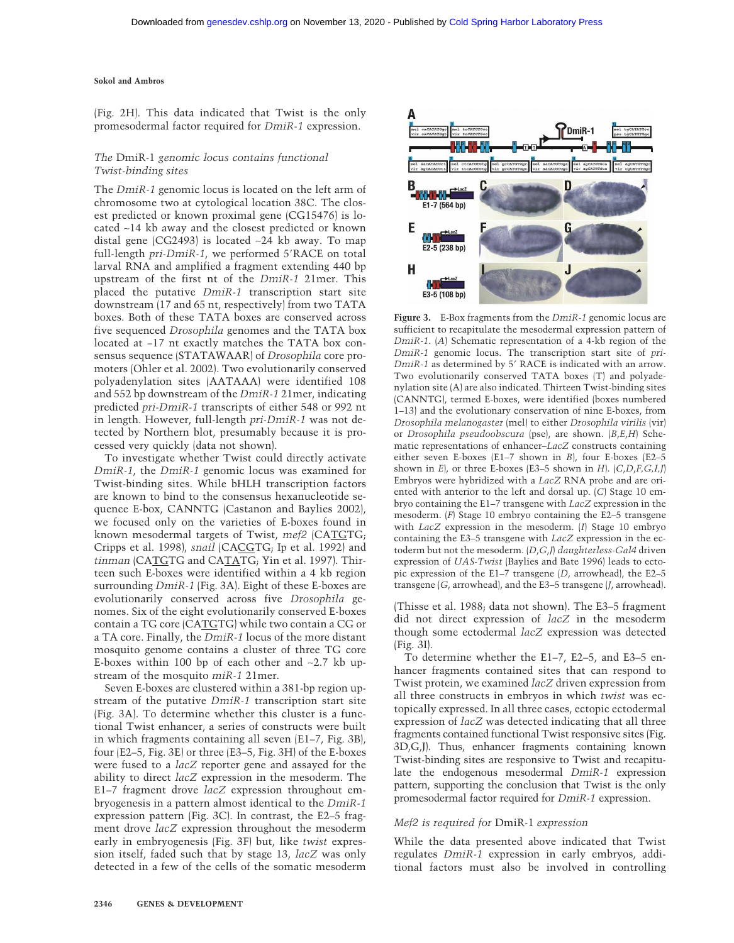(Fig. 2H). This data indicated that Twist is the only promesodermal factor required for *DmiR-1* expression.

# *The* DmiR-1 *genomic locus contains functional Twist-binding sites*

The *DmiR-1* genomic locus is located on the left arm of chromosome two at cytological location 38C. The closest predicted or known proximal gene (CG15476) is located ∼14 kb away and the closest predicted or known distal gene (CG2493) is located ∼24 kb away. To map full-length *pri-DmiR-1*, we performed 5'RACE on total larval RNA and amplified a fragment extending 440 bp upstream of the first nt of the *DmiR-1* 21mer. This placed the putative *DmiR-1* transcription start site downstream (17 and 65 nt, respectively) from two TATA boxes. Both of these TATA boxes are conserved across five sequenced *Drosophila* genomes and the TATA box located at −17 nt exactly matches the TATA box consensus sequence (STATAWAAR) of *Drosophila* core promoters (Ohler et al. 2002). Two evolutionarily conserved polyadenylation sites (AATAAA) were identified 108 and 552 bp downstream of the *DmiR-1* 21mer, indicating predicted *pri-DmiR-1* transcripts of either 548 or 992 nt in length. However, full-length *pri-DmiR-1* was not detected by Northern blot, presumably because it is processed very quickly (data not shown).

To investigate whether Twist could directly activate *DmiR-1*, the *DmiR-1* genomic locus was examined for Twist-binding sites. While bHLH transcription factors are known to bind to the consensus hexanucleotide sequence E-box, CANNTG (Castanon and Baylies 2002), we focused only on the varieties of E-boxes found in known mesodermal targets of Twist, *mef2* (CATGTG; Cripps et al. 1998), *snail* (CACGTG; Ip et al. 1992) and *tinman* (CATGTG and CATATG; Yin et al. 1997). Thirteen such E-boxes were identified within a 4 kb region surrounding *DmiR-1* (Fig. 3A). Eight of these E-boxes are evolutionarily conserved across five *Drosophila* genomes. Six of the eight evolutionarily conserved E-boxes contain a TG core (CATGTG) while two contain a CG or a TA core. Finally, the *DmiR-1* locus of the more distant mosquito genome contains a cluster of three TG core E-boxes within 100 bp of each other and ∼2.7 kb upstream of the mosquito *miR-1* 21mer.

Seven E-boxes are clustered within a 381-bp region upstream of the putative *DmiR-1* transcription start site (Fig. 3A). To determine whether this cluster is a functional Twist enhancer, a series of constructs were built in which fragments containing all seven (E1–7, Fig. 3B), four (E2–5, Fig. 3E) or three (E3–5, Fig. 3H) of the E-boxes were fused to a *lacZ* reporter gene and assayed for the ability to direct *lacZ* expression in the mesoderm. The E1–7 fragment drove *lacZ* expression throughout embryogenesis in a pattern almost identical to the *DmiR-1* expression pattern (Fig. 3C). In contrast, the E2–5 fragment drove *lacZ* expression throughout the mesoderm early in embryogenesis (Fig. 3F) but, like *twist* expression itself, faded such that by stage 13, *lacZ* was only detected in a few of the cells of the somatic mesoderm



**Figure 3.** E-Box fragments from the *DmiR-1* genomic locus are sufficient to recapitulate the mesodermal expression pattern of *DmiR-1*. (*A*) Schematic representation of a 4-kb region of the *DmiR-1* genomic locus. The transcription start site of *pri-DmiR-1* as determined by 5' RACE is indicated with an arrow. Two evolutionarily conserved TATA boxes (T) and polyadenylation site (A) are also indicated. Thirteen Twist-binding sites (CANNTG), termed E-boxes, were identified (boxes numbered 1–13) and the evolutionary conservation of nine E-boxes, from *Drosophila melanogaster* (mel) to either *Drosophila virilis* (vir) or *Drosophila pseudoobscura* (pse), are shown. (*B*,*E*,*H*) Schematic representations of enhancer–*LacZ* constructs containing either seven E-boxes (E1–7 shown in *B*), four E-boxes (E2–5 shown in *E*), or three E-boxes (E3–5 shown in *H*). (*C*,*D*,*F,G,I,J*) Embryos were hybridized with a *LacZ* RNA probe and are oriented with anterior to the left and dorsal up. (*C*) Stage 10 embryo containing the E1–7 transgene with *LacZ* expression in the mesoderm. (*F*) Stage 10 embryo containing the E2–5 transgene with *LacZ* expression in the mesoderm. (*I*) Stage 10 embryo containing the E3–5 transgene with *LacZ* expression in the ectoderm but not the mesoderm. (*D*,*G*,*J*) *daughterless-Gal4* driven expression of *UAS-Twist* (Baylies and Bate 1996) leads to ectopic expression of the E1–7 transgene (*D*, arrowhead), the E2–5 transgene (*G*, arrowhead), and the E3–5 transgene (*J*, arrowhead).

(Thisse et al. 1988; data not shown). The E3–5 fragment did not direct expression of *lacZ* in the mesoderm though some ectodermal *lacZ* expression was detected (Fig. 3I).

To determine whether the E1–7, E2–5, and E3–5 enhancer fragments contained sites that can respond to Twist protein, we examined *lacZ* driven expression from all three constructs in embryos in which *twist* was ectopically expressed. In all three cases, ectopic ectodermal expression of *lacZ* was detected indicating that all three fragments contained functional Twist responsive sites (Fig. 3D,G,J). Thus, enhancer fragments containing known Twist-binding sites are responsive to Twist and recapitulate the endogenous mesodermal *DmiR-1* expression pattern, supporting the conclusion that Twist is the only promesodermal factor required for *DmiR-1* expression.

# *Mef2 is required for* DmiR-1 *expression*

While the data presented above indicated that Twist regulates *DmiR-1* expression in early embryos, additional factors must also be involved in controlling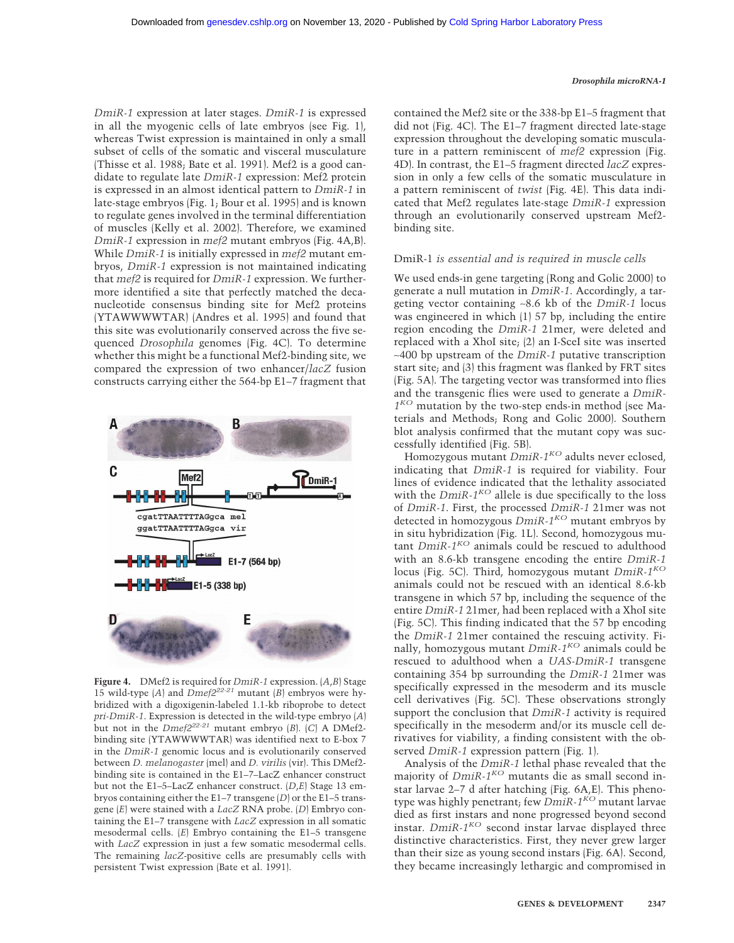*DmiR-1* expression at later stages. *DmiR-1* is expressed in all the myogenic cells of late embryos (see Fig. 1), whereas Twist expression is maintained in only a small subset of cells of the somatic and visceral musculature (Thisse et al. 1988; Bate et al. 1991). Mef2 is a good candidate to regulate late *DmiR-1* expression: Mef2 protein is expressed in an almost identical pattern to *DmiR-1* in late-stage embryos (Fig. 1; Bour et al. 1995) and is known to regulate genes involved in the terminal differentiation of muscles (Kelly et al. 2002). Therefore, we examined *DmiR-1* expression in *mef2* mutant embryos (Fig. 4A,B). While *DmiR-1* is initially expressed in *mef2* mutant embryos, *DmiR-1* expression is not maintained indicating that *mef2* is required for *DmiR-1* expression. We furthermore identified a site that perfectly matched the decanucleotide consensus binding site for Mef2 proteins (YTAWWWWTAR) (Andres et al. 1995) and found that this site was evolutionarily conserved across the five sequenced *Drosophila* genomes (Fig. 4C). To determine whether this might be a functional Mef2-binding site, we compared the expression of two enhancer/*lacZ* fusion constructs carrying either the 564-bp E1–7 fragment that



**Figure 4.** DMef2 is required for *DmiR-1* expression. (*A*,*B*) Stage 15 wild-type  $(A)$  and  $Dmef2^{22-21}$  mutant  $(B)$  embryos were hybridized with a digoxigenin-labeled 1.1-kb riboprobe to detect *pri-DmiR-1*. Expression is detected in the wild-type embryo (*A*) but not in the  $Dmef2^{22-21}$  mutant embryo (*B*). (*C*) A DMef2binding site (YTAWWWWTAR) was identified next to E-box 7 in the *DmiR-1* genomic locus and is evolutionarily conserved between *D. melanogaster* (mel) and *D. virilis* (vir). This DMef2 binding site is contained in the E1–7–LacZ enhancer construct but not the E1–5–LacZ enhancer construct. (*D*,*E*) Stage 13 embryos containing either the E1–7 transgene (*D*) or the E1–5 transgene (*E*) were stained with a *LacZ* RNA probe. (*D*) Embryo containing the E1–7 transgene with *LacZ* expression in all somatic mesodermal cells. (*E*) Embryo containing the E1–5 transgene with *LacZ* expression in just a few somatic mesodermal cells. The remaining *lacZ*-positive cells are presumably cells with persistent Twist expression (Bate et al. 1991).

contained the Mef2 site or the 338-bp E1–5 fragment that did not (Fig. 4C). The E1–7 fragment directed late-stage expression throughout the developing somatic musculature in a pattern reminiscent of *mef2* expression (Fig. 4D). In contrast, the E1–5 fragment directed *lacZ* expression in only a few cells of the somatic musculature in a pattern reminiscent of *twist* (Fig. 4E). This data indicated that Mef2 regulates late-stage *DmiR-1* expression through an evolutionarily conserved upstream Mef2 binding site.

#### DmiR-1 *is essential and is required in muscle cells*

We used ends-in gene targeting (Rong and Golic 2000) to generate a null mutation in *DmiR-1*. Accordingly, a targeting vector containing ∼8.6 kb of the *DmiR-1* locus was engineered in which (1) 57 bp, including the entire region encoding the *DmiR-1* 21mer, were deleted and replaced with a XhoI site; (2) an I-SceI site was inserted ∼400 bp upstream of the *DmiR-1* putative transcription start site; and (3) this fragment was flanked by FRT sites (Fig. 5A). The targeting vector was transformed into flies and the transgenic flies were used to generate a *DmiR-1KO* mutation by the two-step ends-in method (see Materials and Methods; Rong and Golic 2000). Southern blot analysis confirmed that the mutant copy was successfully identified (Fig. 5B).

Homozygous mutant *DmiR-1KO* adults never eclosed, indicating that *DmiR-1* is required for viability. Four lines of evidence indicated that the lethality associated with the  $Dm$ *iR-1<sup>KO</sup>* allele is due specifically to the loss of *DmiR-1*. First, the processed *DmiR-1* 21mer was not detected in homozygous *DmiR-1KO* mutant embryos by in situ hybridization (Fig. 1L). Second, homozygous mutant *DmiR-1KO* animals could be rescued to adulthood with an 8.6-kb transgene encoding the entire *DmiR-1* locus (Fig. 5C). Third, homozygous mutant *DmiR-1KO* animals could not be rescued with an identical 8.6-kb transgene in which 57 bp, including the sequence of the entire *DmiR-1* 21mer, had been replaced with a XhoI site (Fig. 5C). This finding indicated that the 57 bp encoding the *DmiR-1* 21mer contained the rescuing activity. Finally, homozygous mutant *DmiR-1KO* animals could be rescued to adulthood when a *UAS-DmiR-1* transgene containing 354 bp surrounding the *DmiR-1* 21mer was specifically expressed in the mesoderm and its muscle cell derivatives (Fig. 5C). These observations strongly support the conclusion that *DmiR-1* activity is required specifically in the mesoderm and/or its muscle cell derivatives for viability, a finding consistent with the observed *DmiR-1* expression pattern (Fig. 1).

Analysis of the *DmiR-1* lethal phase revealed that the majority of *DmiR-1KO* mutants die as small second instar larvae 2–7 d after hatching (Fig. 6A,E). This phenotype was highly penetrant; few *DmiR-1KO* mutant larvae died as first instars and none progressed beyond second instar. *DmiR-1KO* second instar larvae displayed three distinctive characteristics. First, they never grew larger than their size as young second instars (Fig. 6A). Second, they became increasingly lethargic and compromised in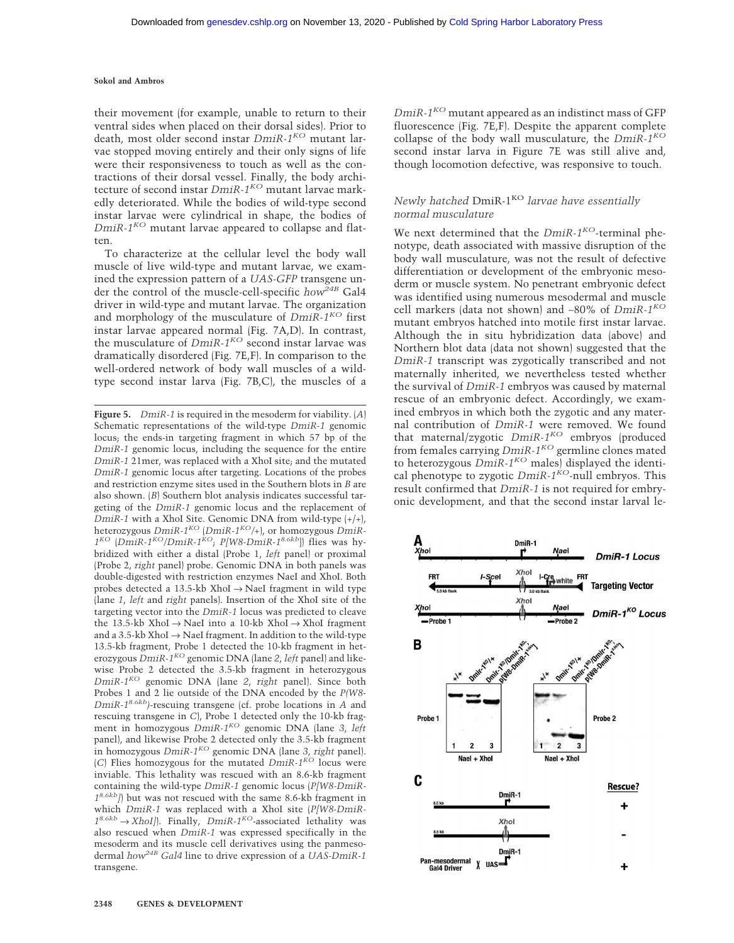their movement (for example, unable to return to their ventral sides when placed on their dorsal sides). Prior to death, most older second instar *DmiR-1KO* mutant larvae stopped moving entirely and their only signs of life were their responsiveness to touch as well as the contractions of their dorsal vessel. Finally, the body architecture of second instar *DmiR-1KO* mutant larvae markedly deteriorated. While the bodies of wild-type second instar larvae were cylindrical in shape, the bodies of *DmiR-1KO* mutant larvae appeared to collapse and flatten.

To characterize at the cellular level the body wall muscle of live wild-type and mutant larvae, we examined the expression pattern of a *UAS-GFP* transgene under the control of the muscle-cell-specific *how*<sup>24B</sup> Gal4 driver in wild-type and mutant larvae. The organization and morphology of the musculature of *DmiR-1KO* first instar larvae appeared normal (Fig. 7A,D). In contrast, the musculature of *DmiR-1KO* second instar larvae was dramatically disordered (Fig. 7E,F). In comparison to the well-ordered network of body wall muscles of a wildtype second instar larva (Fig. 7B,C), the muscles of a

**Figure 5.** *DmiR-1* is required in the mesoderm for viability. (*A*) Schematic representations of the wild-type *DmiR-1* genomic locus; the ends-in targeting fragment in which 57 bp of the *DmiR-1* genomic locus, including the sequence for the entire *DmiR-1* 21mer, was replaced with a XhoI site; and the mutated *DmiR-1* genomic locus after targeting. Locations of the probes and restriction enzyme sites used in the Southern blots in *B* are also shown. (*B*) Southern blot analysis indicates successful targeting of the *DmiR-1* genomic locus and the replacement of *DmiR-1* with a XhoI Site. Genomic DNA from wild-type (+/+), heterozygous *DmiR-1KO* (*DmiR-1KO/+*), or homozygous *DmiR-1KO* (*DmiR-1KO/DmiR-1KO*; *P[W8-DmiR-18.6kb*]) flies was hybridized with either a distal (Probe 1, *left* panel) or proximal (Probe 2, *right* panel) probe. Genomic DNA in both panels was double-digested with restriction enzymes NaeI and XhoI. Both probes detected a 13.5-kb XhoI  $\rightarrow$  NaeI fragment in wild type (lane *1*, *left* and *right* panels). Insertion of the XhoI site of the targeting vector into the *DmiR-1* locus was predicted to cleave the 13.5-kb XhoI → NaeI into a 10-kb XhoI → XhoI fragment and a 3.5-kb XhoI  $\rightarrow$  NaeI fragment. In addition to the wild-type 13.5-kb fragment, Probe 1 detected the 10-kb fragment in heterozygous *DmiR-1KO* genomic DNA (lane *2*, *left* panel) and likewise Probe 2 detected the 3.5-kb fragment in heterozygous *DmiR-1KO* genomic DNA (lane *2*, *right* panel). Since both Probes 1 and 2 lie outside of the DNA encoded by the *P(W8- DmiR-18.6kb)*-rescuing transgene (cf. probe locations in *A* and rescuing transgene in *C*), Probe 1 detected only the 10-kb fragment in homozygous *DmiR-1KO* genomic DNA (lane *3*, *left* panel), and likewise Probe 2 detected only the 3.5-kb fragment in homozygous *DmiR-1KO* genomic DNA (lane *3*, *right* panel). (*C*) Flies homozygous for the mutated *DmiR-1KO* locus were inviable. This lethality was rescued with an 8.6-kb fragment containing the wild-type *DmiR-1* genomic locus (*P[W8-DmiR-18.6kb]*) but was not rescued with the same 8.6-kb fragment in which *DmiR-1* was replaced with a XhoI site (*P[W8-DmiR-18.6kb* → *XhoI]*). Finally, *DmiR-1KO*-associated lethality was also rescued when *DmiR-1* was expressed specifically in the mesoderm and its muscle cell derivatives using the panmesodermal *how24B Gal4* line to drive expression of a *UAS-DmiR-1* transgene.

*DmiR-1KO* mutant appeared as an indistinct mass of GFP fluorescence (Fig. 7E,F). Despite the apparent complete collapse of the body wall musculature, the *DmiR-1KO* second instar larva in Figure 7E was still alive and, though locomotion defective, was responsive to touch.

# *Newly hatched* DmiR-1<sup>KO</sup> *larvae have essentially normal musculature*

We next determined that the *DmiR-1<sup>KO</sup>*-terminal phenotype, death associated with massive disruption of the body wall musculature, was not the result of defective differentiation or development of the embryonic mesoderm or muscle system. No penetrant embryonic defect was identified using numerous mesodermal and muscle cell markers (data not shown) and ∼80% of *DmiR-1KO* mutant embryos hatched into motile first instar larvae. Although the in situ hybridization data (above) and Northern blot data (data not shown) suggested that the *DmiR-1* transcript was zygotically transcribed and not maternally inherited, we nevertheless tested whether the survival of *DmiR-1* embryos was caused by maternal rescue of an embryonic defect. Accordingly, we examined embryos in which both the zygotic and any maternal contribution of *DmiR-1* were removed. We found that maternal/zygotic *DmiR-1KO* embryos (produced from females carrying *DmiR-1KO* germline clones mated to heterozygous  $DmR-1^{KO}$  males) displayed the identical phenotype to zygotic *DmiR-1KO*-null embryos. This result confirmed that *DmiR-1* is not required for embryonic development, and that the second instar larval le-

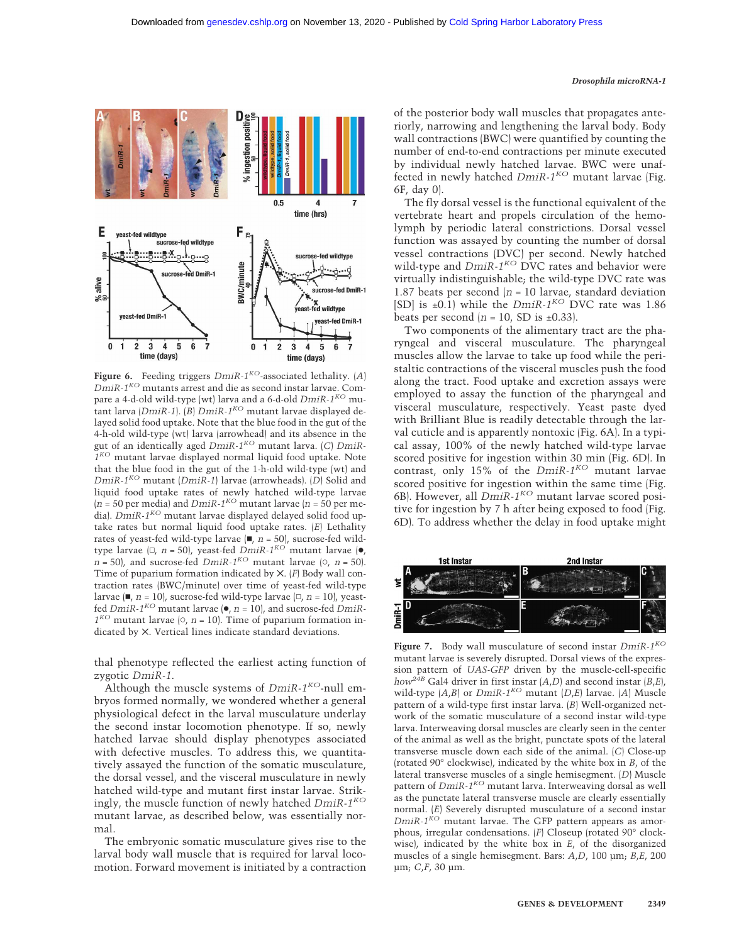

**Figure 6.** Feeding triggers *DmiR-1KO*-associated lethality. (*A*) *DmiR-1KO* mutants arrest and die as second instar larvae. Compare a 4-d-old wild-type (wt) larva and a 6-d-old *DmiR-1KO* mutant larva (*DmiR-1*). (*B*) *DmiR-1KO* mutant larvae displayed delayed solid food uptake. Note that the blue food in the gut of the 4-h-old wild-type (wt) larva (arrowhead) and its absence in the gut of an identically aged *DmiR-1KO* mutant larva. (*C*) *DmiR-1KO* mutant larvae displayed normal liquid food uptake. Note that the blue food in the gut of the 1-h-old wild-type (wt) and *DmiR-1KO* mutant (*DmiR-1*) larvae (arrowheads). (*D*) Solid and liquid food uptake rates of newly hatched wild-type larvae  $(n = 50$  per media) and *DmiR-1<sup>KO</sup>* mutant larvae  $(n = 50$  per media). *DmiR-1KO* mutant larvae displayed delayed solid food uptake rates but normal liquid food uptake rates. (*E*) Lethality rates of yeast-fed wild-type larvae  $(\blacksquare, n = 50)$ , sucrose-fed wildtype larvae  $\lbrack \Box, n = 50 \rbrack$ , yeast-fed *DmiR-1<sup>KO'</sup>* mutant larvae ( $\bullet$ ,  $n = 50$ , and sucrose-fed *DmiR-1<sup>KO</sup>* mutant larvae ( $\circ$ ,  $n = 50$ ). Time of puparium formation indicated by ✕. (*F*) Body wall contraction rates (BWC/minute) over time of yeast-fed wild-type larvae (■, *n* = 10), sucrose-fed wild-type larvae (□, *n* = 10), yeastfed *DmiR-1KO* mutant larvae (●, *n* = 10), and sucrose-fed *DmiR-* $1^{KO}$  mutant larvae  $\vert 0, n = 10 \vert$ . Time of puparium formation indicated by ✕. Vertical lines indicate standard deviations.

thal phenotype reflected the earliest acting function of zygotic *DmiR-1*.

Although the muscle systems of *DmiR-1KO*-null embryos formed normally, we wondered whether a general physiological defect in the larval musculature underlay the second instar locomotion phenotype. If so, newly hatched larvae should display phenotypes associated with defective muscles. To address this, we quantitatively assayed the function of the somatic musculature, the dorsal vessel, and the visceral musculature in newly hatched wild-type and mutant first instar larvae. Strikingly, the muscle function of newly hatched *DmiR-1KO* mutant larvae, as described below, was essentially normal.

The embryonic somatic musculature gives rise to the larval body wall muscle that is required for larval locomotion. Forward movement is initiated by a contraction of the posterior body wall muscles that propagates anteriorly, narrowing and lengthening the larval body. Body wall contractions (BWC) were quantified by counting the number of end-to-end contractions per minute executed by individual newly hatched larvae. BWC were unaffected in newly hatched *DmiR-1KO* mutant larvae (Fig. 6F, day 0).

The fly dorsal vessel is the functional equivalent of the vertebrate heart and propels circulation of the hemolymph by periodic lateral constrictions. Dorsal vessel function was assayed by counting the number of dorsal vessel contractions (DVC) per second. Newly hatched wild-type and *DmiR-1<sup>KO</sup>* DVC rates and behavior were virtually indistinguishable; the wild-type DVC rate was 1.87 beats per second  $(n = 10 \text{ larvae}, \text{standard deviation})$ [SD] is ±0.1) while the *DmiR-1KO* DVC rate was 1.86 beats per second  $(n = 10, SD is \pm 0.33)$ .

Two components of the alimentary tract are the pharyngeal and visceral musculature. The pharyngeal muscles allow the larvae to take up food while the peristaltic contractions of the visceral muscles push the food along the tract. Food uptake and excretion assays were employed to assay the function of the pharyngeal and visceral musculature, respectively. Yeast paste dyed with Brilliant Blue is readily detectable through the larval cuticle and is apparently nontoxic (Fig. 6A). In a typical assay, 100% of the newly hatched wild-type larvae scored positive for ingestion within 30 min (Fig. 6D). In contrast, only 15% of the *DmiR-1KO* mutant larvae scored positive for ingestion within the same time (Fig. 6B). However, all *DmiR-1KO* mutant larvae scored positive for ingestion by 7 h after being exposed to food (Fig. 6D). To address whether the delay in food uptake might



**Figure 7.** Body wall musculature of second instar *DmiR-1KO* mutant larvae is severely disrupted. Dorsal views of the expression pattern of *UAS-GFP* driven by the muscle-cell-specific *how*<sup> $2\bar{4}B$ </sup> Gal4 driver in first instar  $(A, D)$  and second instar  $(B, E)$ , wild-type (*A*,*B*) or *DmiR-1KO* mutant (*D*,*E*) larvae. (*A*) Muscle pattern of a wild-type first instar larva. (*B*) Well-organized network of the somatic musculature of a second instar wild-type larva. Interweaving dorsal muscles are clearly seen in the center of the animal as well as the bright, punctate spots of the lateral transverse muscle down each side of the animal. (*C*) Close-up (rotated 90° clockwise), indicated by the white box in *B*, of the lateral transverse muscles of a single hemisegment. (*D*) Muscle pattern of *DmiR-1KO* mutant larva. Interweaving dorsal as well as the punctate lateral transverse muscle are clearly essentially normal. (*E*) Severely disrupted musculature of a second instar *DmiR-1KO* mutant larvae. The GFP pattern appears as amorphous, irregular condensations. (*F*) Closeup (rotated 90° clockwise), indicated by the white box in *E*, of the disorganized muscles of a single hemisegment. Bars: *A*,*D*, 100 µm; *B*,*E*, 200 µm; *C*,*F*, 30 µm.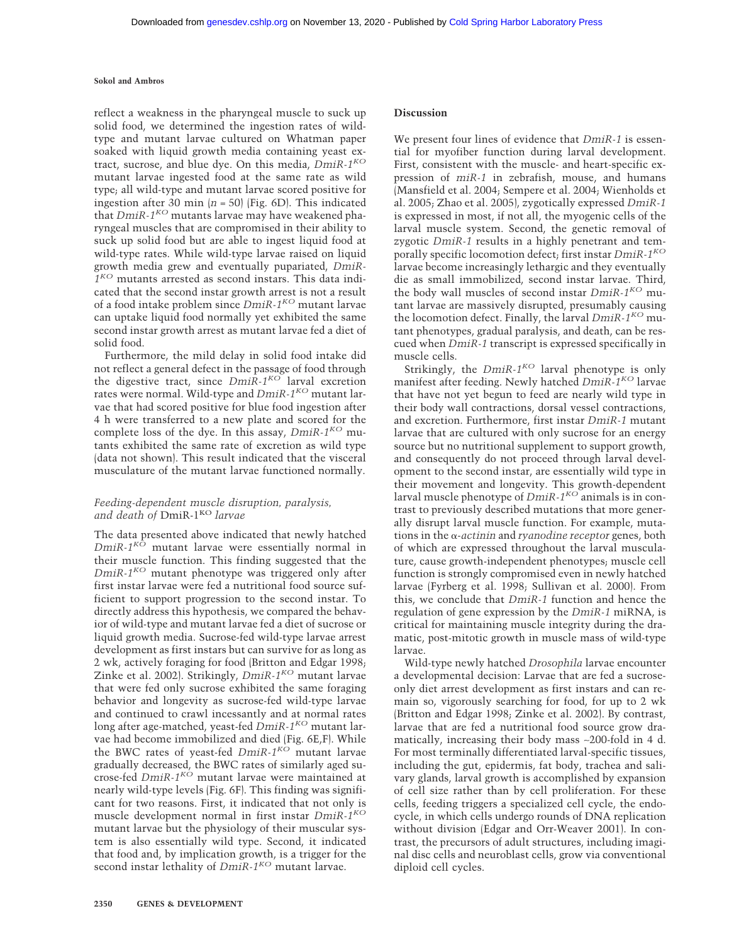reflect a weakness in the pharyngeal muscle to suck up solid food, we determined the ingestion rates of wildtype and mutant larvae cultured on Whatman paper soaked with liquid growth media containing yeast extract, sucrose, and blue dye. On this media, *DmiR-1KO* mutant larvae ingested food at the same rate as wild type; all wild-type and mutant larvae scored positive for ingestion after 30 min  $(n = 50)$  (Fig. 6D). This indicated that *DmiR-1<sup>KO</sup>* mutants larvae may have weakened pharyngeal muscles that are compromised in their ability to suck up solid food but are able to ingest liquid food at wild-type rates. While wild-type larvae raised on liquid growth media grew and eventually pupariated, *DmiR-1KO* mutants arrested as second instars. This data indicated that the second instar growth arrest is not a result of a food intake problem since *DmiR-1KO* mutant larvae can uptake liquid food normally yet exhibited the same second instar growth arrest as mutant larvae fed a diet of solid food.

Furthermore, the mild delay in solid food intake did not reflect a general defect in the passage of food through the digestive tract, since *DmiR-1KO* larval excretion rates were normal. Wild-type and *DmiR-1KO* mutant larvae that had scored positive for blue food ingestion after 4 h were transferred to a new plate and scored for the complete loss of the dye. In this assay, *DmiR-1KO* mutants exhibited the same rate of excretion as wild type (data not shown). This result indicated that the visceral musculature of the mutant larvae functioned normally.

# *Feeding-dependent muscle disruption, paralysis,* and death of DmiR-1<sup>KO</sup> larvae

The data presented above indicated that newly hatched *DmiR-1KO* mutant larvae were essentially normal in their muscle function. This finding suggested that the *DmiR-1KO* mutant phenotype was triggered only after first instar larvae were fed a nutritional food source sufficient to support progression to the second instar. To directly address this hypothesis, we compared the behavior of wild-type and mutant larvae fed a diet of sucrose or liquid growth media. Sucrose-fed wild-type larvae arrest development as first instars but can survive for as long as 2 wk, actively foraging for food (Britton and Edgar 1998; Zinke et al. 2002). Strikingly, *DmiR-1KO* mutant larvae that were fed only sucrose exhibited the same foraging behavior and longevity as sucrose-fed wild-type larvae and continued to crawl incessantly and at normal rates long after age-matched, yeast-fed *DmiR-1KO* mutant larvae had become immobilized and died (Fig. 6E,F). While the BWC rates of yeast-fed *DmiR-1KO* mutant larvae gradually decreased, the BWC rates of similarly aged sucrose-fed *DmiR-1KO* mutant larvae were maintained at nearly wild-type levels (Fig. 6F). This finding was significant for two reasons. First, it indicated that not only is muscle development normal in first instar *DmiR-1KO* mutant larvae but the physiology of their muscular system is also essentially wild type. Second, it indicated that food and, by implication growth, is a trigger for the second instar lethality of *DmiR-1<sup>KO</sup>* mutant larvae.

We present four lines of evidence that *DmiR-1* is essential for myofiber function during larval development. First, consistent with the muscle- and heart-specific expression of *miR-1* in zebrafish, mouse, and humans (Mansfield et al. 2004; Sempere et al. 2004; Wienholds et al. 2005; Zhao et al. 2005), zygotically expressed *DmiR-1* is expressed in most, if not all, the myogenic cells of the larval muscle system. Second, the genetic removal of zygotic *DmiR-1* results in a highly penetrant and temporally specific locomotion defect; first instar *DmiR-1KO* larvae become increasingly lethargic and they eventually die as small immobilized, second instar larvae. Third, the body wall muscles of second instar *DmiR-1KO* mutant larvae are massively disrupted, presumably causing the locomotion defect. Finally, the larval *DmiR-1KO* mutant phenotypes, gradual paralysis, and death, can be rescued when *DmiR-1* transcript is expressed specifically in muscle cells.

Strikingly, the  $DmR-1^{KO}$  larval phenotype is only manifest after feeding. Newly hatched *DmiR-1KO* larvae that have not yet begun to feed are nearly wild type in their body wall contractions, dorsal vessel contractions, and excretion. Furthermore, first instar *DmiR-1* mutant larvae that are cultured with only sucrose for an energy source but no nutritional supplement to support growth, and consequently do not proceed through larval development to the second instar, are essentially wild type in their movement and longevity. This growth-dependent larval muscle phenotype of *DmiR-1KO* animals is in contrast to previously described mutations that more generally disrupt larval muscle function. For example, muta $tions$  in the  $\alpha$ -*actinin* and *ryanodine receptor* genes, both of which are expressed throughout the larval musculature, cause growth-independent phenotypes; muscle cell function is strongly compromised even in newly hatched larvae (Fyrberg et al. 1998; Sullivan et al. 2000). From this, we conclude that *DmiR-1* function and hence the regulation of gene expression by the *DmiR-1* miRNA, is critical for maintaining muscle integrity during the dramatic, post-mitotic growth in muscle mass of wild-type larvae.

Wild-type newly hatched *Drosophila* larvae encounter a developmental decision: Larvae that are fed a sucroseonly diet arrest development as first instars and can remain so, vigorously searching for food, for up to 2 wk (Britton and Edgar 1998; Zinke et al. 2002). By contrast, larvae that are fed a nutritional food source grow dramatically, increasing their body mass ∼200-fold in 4 d. For most terminally differentiated larval-specific tissues, including the gut, epidermis, fat body, trachea and salivary glands, larval growth is accomplished by expansion of cell size rather than by cell proliferation. For these cells, feeding triggers a specialized cell cycle, the endocycle, in which cells undergo rounds of DNA replication without division (Edgar and Orr-Weaver 2001). In contrast, the precursors of adult structures, including imaginal disc cells and neuroblast cells, grow via conventional diploid cell cycles.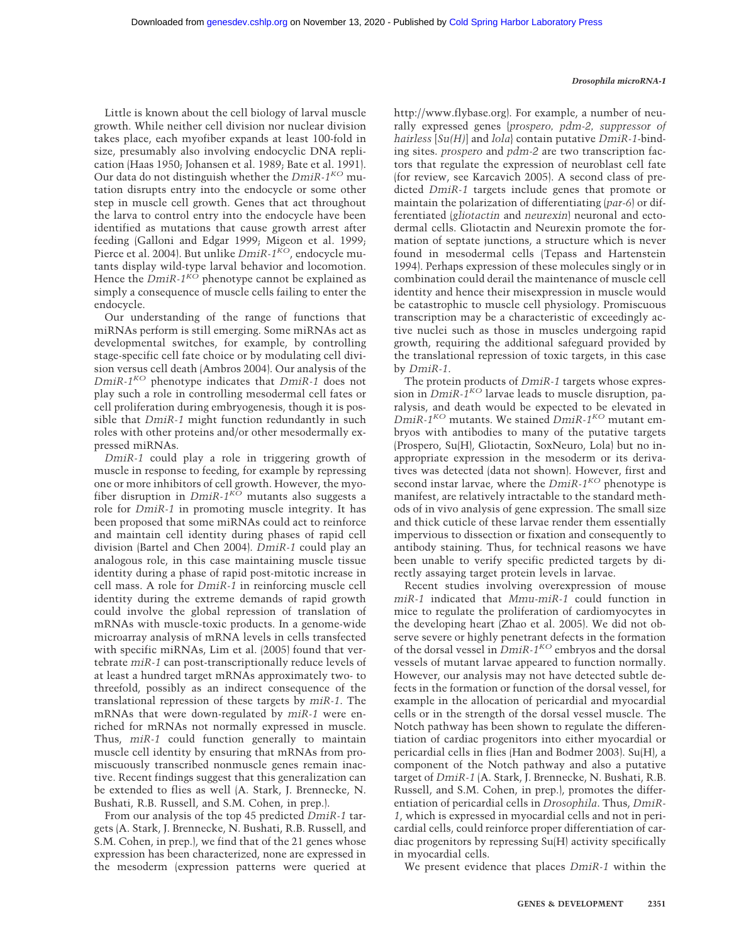Little is known about the cell biology of larval muscle growth. While neither cell division nor nuclear division takes place, each myofiber expands at least 100-fold in size, presumably also involving endocyclic DNA replication (Haas 1950; Johansen et al. 1989; Bate et al. 1991). Our data do not distinguish whether the *DmiR-1KO* mutation disrupts entry into the endocycle or some other step in muscle cell growth. Genes that act throughout the larva to control entry into the endocycle have been identified as mutations that cause growth arrest after feeding (Galloni and Edgar 1999; Migeon et al. 1999; Pierce et al. 2004). But unlike *DmiR-1<sup>KO</sup>*, endocycle mutants display wild-type larval behavior and locomotion. Hence the  $Dm$ *iR*- $1^{K\tilde{O}}$  phenotype cannot be explained as simply a consequence of muscle cells failing to enter the endocycle.

Our understanding of the range of functions that miRNAs perform is still emerging. Some miRNAs act as developmental switches, for example, by controlling stage-specific cell fate choice or by modulating cell division versus cell death (Ambros 2004). Our analysis of the *DmiR-1KO* phenotype indicates that *DmiR-1* does not play such a role in controlling mesodermal cell fates or cell proliferation during embryogenesis, though it is possible that *DmiR-1* might function redundantly in such roles with other proteins and/or other mesodermally expressed miRNAs.

*DmiR-1* could play a role in triggering growth of muscle in response to feeding, for example by repressing one or more inhibitors of cell growth. However, the myofiber disruption in *DmiR-1KO* mutants also suggests a role for *DmiR-1* in promoting muscle integrity. It has been proposed that some miRNAs could act to reinforce and maintain cell identity during phases of rapid cell division (Bartel and Chen 2004). *DmiR-1* could play an analogous role, in this case maintaining muscle tissue identity during a phase of rapid post-mitotic increase in cell mass. A role for *DmiR-1* in reinforcing muscle cell identity during the extreme demands of rapid growth could involve the global repression of translation of mRNAs with muscle-toxic products. In a genome-wide microarray analysis of mRNA levels in cells transfected with specific miRNAs, Lim et al. (2005) found that vertebrate *miR-1* can post-transcriptionally reduce levels of at least a hundred target mRNAs approximately two- to threefold, possibly as an indirect consequence of the translational repression of these targets by *miR-1*. The mRNAs that were down-regulated by *miR-1* were enriched for mRNAs not normally expressed in muscle. Thus, *miR-1* could function generally to maintain muscle cell identity by ensuring that mRNAs from promiscuously transcribed nonmuscle genes remain inactive. Recent findings suggest that this generalization can be extended to flies as well (A. Stark, J. Brennecke, N. Bushati, R.B. Russell, and S.M. Cohen, in prep.).

From our analysis of the top 45 predicted *DmiR-1* targets (A. Stark, J. Brennecke, N. Bushati, R.B. Russell, and S.M. Cohen, in prep.), we find that of the 21 genes whose expression has been characterized, none are expressed in the mesoderm (expression patterns were queried at http://www.flybase.org). For example, a number of neurally expressed genes {*prospero, pdm-2, suppressor of hairless* [*Su(H)*] and *lola*} contain putative *DmiR-1*-binding sites. *prospero* and *pdm-2* are two transcription factors that regulate the expression of neuroblast cell fate (for review, see Karcavich 2005). A second class of predicted *DmiR-1* targets include genes that promote or maintain the polarization of differentiating (*par-6*) or differentiated (*gliotactin* and *neurexin*) neuronal and ectodermal cells. Gliotactin and Neurexin promote the formation of septate junctions, a structure which is never found in mesodermal cells (Tepass and Hartenstein 1994). Perhaps expression of these molecules singly or in combination could derail the maintenance of muscle cell identity and hence their misexpression in muscle would be catastrophic to muscle cell physiology. Promiscuous transcription may be a characteristic of exceedingly active nuclei such as those in muscles undergoing rapid growth, requiring the additional safeguard provided by the translational repression of toxic targets, in this case by *DmiR-1*.

The protein products of *DmiR-1* targets whose expression in *DmiR-1KO* larvae leads to muscle disruption, paralysis, and death would be expected to be elevated in *DmiR-1KO* mutants. We stained *DmiR-1KO* mutant embryos with antibodies to many of the putative targets (Prospero, Su(H), Gliotactin, SoxNeuro, Lola) but no inappropriate expression in the mesoderm or its derivatives was detected (data not shown). However, first and second instar larvae, where the *DmiR-1KO* phenotype is manifest, are relatively intractable to the standard methods of in vivo analysis of gene expression. The small size and thick cuticle of these larvae render them essentially impervious to dissection or fixation and consequently to antibody staining. Thus, for technical reasons we have been unable to verify specific predicted targets by directly assaying target protein levels in larvae.

Recent studies involving overexpression of mouse *miR-1* indicated that *Mmu-miR-1* could function in mice to regulate the proliferation of cardiomyocytes in the developing heart (Zhao et al. 2005). We did not observe severe or highly penetrant defects in the formation of the dorsal vessel in *DmiR-1KO* embryos and the dorsal vessels of mutant larvae appeared to function normally. However, our analysis may not have detected subtle defects in the formation or function of the dorsal vessel, for example in the allocation of pericardial and myocardial cells or in the strength of the dorsal vessel muscle. The Notch pathway has been shown to regulate the differentiation of cardiac progenitors into either myocardial or pericardial cells in flies (Han and Bodmer 2003). Su(H), a component of the Notch pathway and also a putative target of *DmiR-1* (A. Stark, J. Brennecke, N. Bushati, R.B. Russell, and S.M. Cohen, in prep.), promotes the differentiation of pericardial cells in *Drosophila*. Thus, *DmiR-1*, which is expressed in myocardial cells and not in pericardial cells, could reinforce proper differentiation of cardiac progenitors by repressing Su(H) activity specifically in myocardial cells.

We present evidence that places *DmiR-1* within the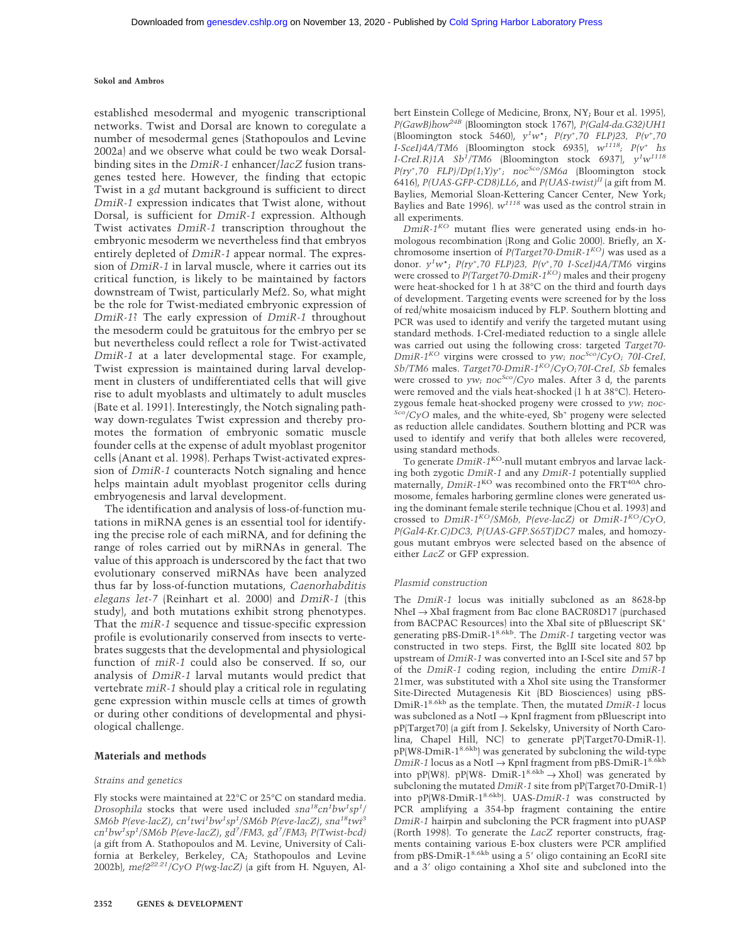established mesodermal and myogenic transcriptional networks. Twist and Dorsal are known to coregulate a number of mesodermal genes (Stathopoulos and Levine 2002a) and we observe what could be two weak Dorsalbinding sites in the *DmiR-1* enhancer/*lacZ* fusion transgenes tested here. However, the finding that ectopic Twist in a *gd* mutant background is sufficient to direct *DmiR-1* expression indicates that Twist alone, without Dorsal, is sufficient for *DmiR-1* expression. Although Twist activates *DmiR-1* transcription throughout the embryonic mesoderm we nevertheless find that embryos entirely depleted of *DmiR-1* appear normal. The expression of *DmiR-1* in larval muscle, where it carries out its critical function, is likely to be maintained by factors downstream of Twist, particularly Mef2. So, what might be the role for Twist-mediated embryonic expression of *DmiR-1*? The early expression of *DmiR-1* throughout the mesoderm could be gratuitous for the embryo per se but nevertheless could reflect a role for Twist-activated *DmiR-1* at a later developmental stage. For example, Twist expression is maintained during larval development in clusters of undifferentiated cells that will give rise to adult myoblasts and ultimately to adult muscles (Bate et al. 1991). Interestingly, the Notch signaling pathway down-regulates Twist expression and thereby promotes the formation of embryonic somatic muscle founder cells at the expense of adult myoblast progenitor cells (Anant et al. 1998). Perhaps Twist-activated expression of *DmiR-1* counteracts Notch signaling and hence helps maintain adult myoblast progenitor cells during embryogenesis and larval development.

The identification and analysis of loss-of-function mutations in miRNA genes is an essential tool for identifying the precise role of each miRNA, and for defining the range of roles carried out by miRNAs in general. The value of this approach is underscored by the fact that two evolutionary conserved miRNAs have been analyzed thus far by loss-of-function mutations, *Caenorhabditis elegans let-7* (Reinhart et al. 2000) and *DmiR-1* (this study), and both mutations exhibit strong phenotypes. That the *miR-1* sequence and tissue-specific expression profile is evolutionarily conserved from insects to vertebrates suggests that the developmental and physiological function of *miR-1* could also be conserved. If so, our analysis of *DmiR-1* larval mutants would predict that vertebrate *miR-1* should play a critical role in regulating gene expression within muscle cells at times of growth or during other conditions of developmental and physiological challenge.

#### **Materials and methods**

#### *Strains and genetics*

Fly stocks were maintained at 22°C or 25°C on standard media. *Drosophila* stocks that were used included  $sna^{18}cn^{1}bw^{1}sp^{1}/$ *SM6b P(eve-lacZ)*, *cn<sup>1</sup> twi<sup>1</sup> bw<sup>1</sup> sp<sup>1</sup> /SM6b P(eve-lacZ)*, *sna18twi3 cn<sup>1</sup> bw<sup>1</sup> sp<sup>1</sup> /SM6b P(eve-lacZ)*, *gd7 /FM3, gd<sup>7</sup> /FM3*; *P(Twist-bcd)* (a gift from A. Stathopoulos and M. Levine, University of California at Berkeley, Berkeley, CA; Stathopoulos and Levine 2002b), *mef222.21/CyO P(wg-lacZ)* (a gift from H. Nguyen, Albert Einstein College of Medicine, Bronx, NY; Bour et al. 1995)*, P(GawB)how24B* (Bloomington stock 1767), *P(Gal4-da.G32)UH1* (Bloomington stock 5460), *y1 w*\*; *P(ry<sup>+</sup> ,70 FLP)23, P(v<sup>+</sup> ,70 I-SceI)4A/TM6* (Bloomington stock 6935), *w1118; P(v+ hs I-CreI.R)1A Sb<sup>1</sup> /TM6* (Bloomington stock 6937), *y1 w<sup>1118</sup>*  $P(ry^+, 70$  FLP)/ $Dp(1;Y)y^+$ ; noc<sup>Sco</sup>/SM6a (Bloomington stock 6416), *P(UAS-GFP-CD8)LL6*, and *P(UAS-twist)II* (a gift from M. Baylies, Memorial Sloan-Kettering Cancer Center, New York; Baylies and Bate 1996). *w<sup>1118</sup>* was used as the control strain in all experiments.

*DmiR-1KO* mutant flies were generated using ends-in homologous recombination (Rong and Golic 2000). Briefly, an Xchromosome insertion of *P(Target70-DmiR-1KO)* was used as a donor. *y<sup>1</sup> w*\*; *P(ry<sup>+</sup> ,70 FLP)23, P(v<sup>+</sup> ,70 I-SceI)4A/TM6* virgins were crossed to *P(Target70-DmiR-1KO)* males and their progeny were heat-shocked for 1 h at 38°C on the third and fourth days of development. Targeting events were screened for by the loss of red/white mosaicism induced by FLP. Southern blotting and PCR was used to identify and verify the targeted mutant using standard methods. I-CreI-mediated reduction to a single allele was carried out using the following cross: targeted *Target70- DmiR-1KO* virgins were crossed to *yw; nocSco/CyO; 70I-CreI, Sb/TM6* males. *Target70-DmiR-1KO/CyO;70I-CreI, Sb* females were crossed to *yw; nocSco/Cyo* males. After 3 d, the parents were removed and the vials heat-shocked (1 h at 38°C). Heterozygous female heat-shocked progeny were crossed to *yw; noc- Sco/CyO* males, and the white-eyed, Sb<sup>+</sup> progeny were selected as reduction allele candidates. Southern blotting and PCR was used to identify and verify that both alleles were recovered, using standard methods.

To generate *DmiR-1*KO-null mutant embryos and larvae lacking both zygotic *DmiR-1* and any *DmiR-1* potentially supplied maternally, *DmiR-1*<sup>KO</sup> was recombined onto the FRT<sup>40A</sup> chromosome, females harboring germline clones were generated using the dominant female sterile technique (Chou et al. 1993) and crossed to *DmiR-1KO/SM6b, P(eve-lacZ)* or *DmiR-1KO/CyO, P(Gal4-Kr.C)DC3, P(UAS-GFP.S65T)DC7* males, and homozygous mutant embryos were selected based on the absence of either *LacZ* or GFP expression.

#### *Plasmid construction*

The *DmiR-1* locus was initially subcloned as an 8628-bp NheI → XbaI fragment from Bac clone BACR08D17 (purchased from BACPAC Resources) into the XbaI site of pBluescript SK<sup>+</sup> generating pBS-DmiR-18.6kb. The *DmiR-1* targeting vector was constructed in two steps. First, the BglII site located 802 bp upstream of *DmiR-1* was converted into an I-SceI site and 57 bp of the *DmiR-1* coding region, including the entire *DmiR-1* 21mer, was substituted with a XhoI site using the Transformer Site-Directed Mutagenesis Kit (BD Biosciences) using pBS-DmiR-18.6kb as the template. Then, the mutated *DmiR-1* locus was subcloned as a NotI  $\rightarrow$  KpnI fragment from pBluescript into pP(Target70) (a gift from J. Sekelsky, University of North Carolina, Chapel Hill, NC) to generate pP(Target70-DmiR-1). pP(W8-DmiR-18.6kb) was generated by subcloning the wild-type *DmiR-1* locus as a NotI → KpnI fragment from pBS-DmiR-1<sup>8.6kb</sup> into pP(W8). pP(W8- DmiR-18.6kb  $\rightarrow$  XhoI) was generated by subcloning the mutated *DmiR-1* site from pP(Target70-DmiR-1) into pP(W8-DmiR-1<sup>8.6kb</sup>). UAS-DmiR-1 was constructed by PCR amplifying a 354-bp fragment containing the entire *DmiR-1* hairpin and subcloning the PCR fragment into pUASP (Rorth 1998). To generate the *LacZ* reporter constructs, fragments containing various E-box clusters were PCR amplified from pBS-DmiR- $1^{8.6kb}$  using a 5' oligo containing an EcoRI site and a 3' oligo containing a XhoI site and subcloned into the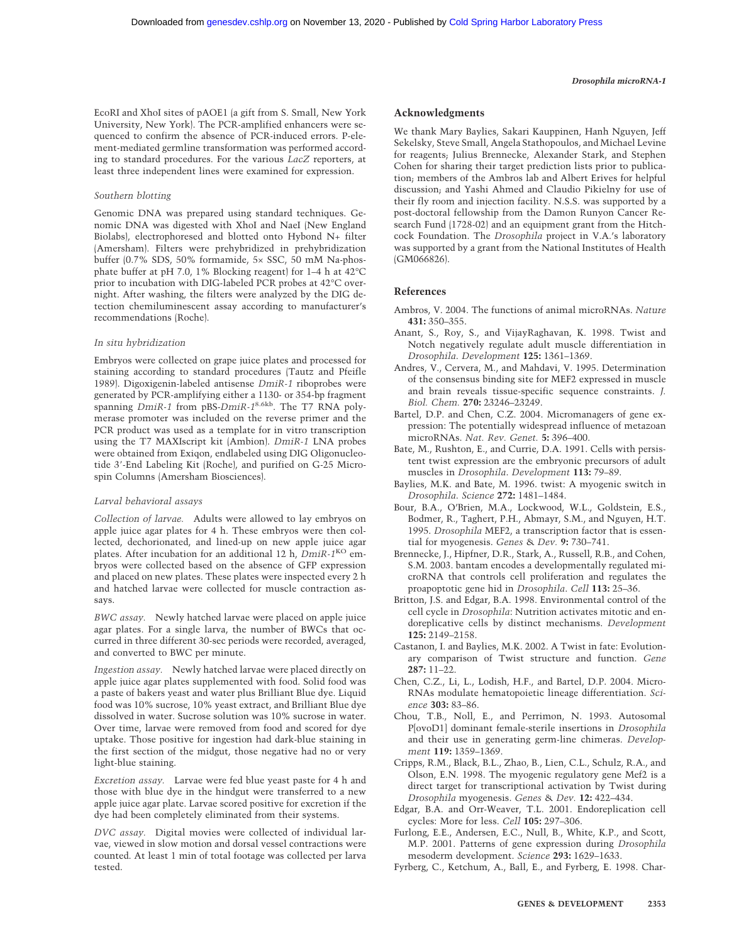EcoRI and XhoI sites of pAOE1 (a gift from S. Small, New York University, New York). The PCR-amplified enhancers were sequenced to confirm the absence of PCR-induced errors. P-element-mediated germline transformation was performed according to standard procedures. For the various *LacZ* reporters, at least three independent lines were examined for expression.

#### *Southern blotting*

Genomic DNA was prepared using standard techniques. Genomic DNA was digested with XhoI and NaeI (New England Biolabs), electrophoresed and blotted onto Hybond N+ filter (Amersham). Filters were prehybridized in prehybridization buffer (0.7% SDS, 50% formamide, 5× SSC, 50 mM Na-phosphate buffer at pH 7.0, 1% Blocking reagent) for 1–4 h at 42°C prior to incubation with DIG-labeled PCR probes at 42°C overnight. After washing, the filters were analyzed by the DIG detection chemiluminescent assay according to manufacturer's recommendations (Roche).

#### *In situ hybridization*

Embryos were collected on grape juice plates and processed for staining according to standard procedures (Tautz and Pfeifle 1989). Digoxigenin-labeled antisense *DmiR-1* riboprobes were generated by PCR-amplifying either a 1130- or 354-bp fragment spanning *DmiR-1* from pBS-*DmiR-1*8.6kb. The T7 RNA polymerase promoter was included on the reverse primer and the PCR product was used as a template for in vitro transcription using the T7 MAXIscript kit (Ambion). *DmiR-1* LNA probes were obtained from Exiqon, endlabeled using DIG Oligonucleotide 3'-End Labeling Kit (Roche), and purified on G-25 Microspin Columns (Amersham Biosciences).

#### *Larval behavioral assays*

*Collection of larvae.* Adults were allowed to lay embryos on apple juice agar plates for 4 h. These embryos were then collected, dechorionated, and lined-up on new apple juice agar plates. After incubation for an additional 12 h, *DmiR-1*<sup>KO</sup> embryos were collected based on the absence of GFP expression and placed on new plates. These plates were inspected every 2 h and hatched larvae were collected for muscle contraction assays.

*BWC assay.* Newly hatched larvae were placed on apple juice agar plates. For a single larva, the number of BWCs that occurred in three different 30-sec periods were recorded, averaged, and converted to BWC per minute.

*Ingestion assay.* Newly hatched larvae were placed directly on apple juice agar plates supplemented with food. Solid food was a paste of bakers yeast and water plus Brilliant Blue dye. Liquid food was 10% sucrose, 10% yeast extract, and Brilliant Blue dye dissolved in water. Sucrose solution was 10% sucrose in water. Over time, larvae were removed from food and scored for dye uptake. Those positive for ingestion had dark-blue staining in the first section of the midgut, those negative had no or very light-blue staining.

*Excretion assay.* Larvae were fed blue yeast paste for 4 h and those with blue dye in the hindgut were transferred to a new apple juice agar plate. Larvae scored positive for excretion if the dye had been completely eliminated from their systems.

*DVC assay.* Digital movies were collected of individual larvae, viewed in slow motion and dorsal vessel contractions were counted. At least 1 min of total footage was collected per larva tested.

#### **Acknowledgments**

We thank Mary Baylies, Sakari Kauppinen, Hanh Nguyen, Jeff Sekelsky, Steve Small, Angela Stathopoulos, and Michael Levine for reagents; Julius Brennecke, Alexander Stark, and Stephen Cohen for sharing their target prediction lists prior to publication; members of the Ambros lab and Albert Erives for helpful discussion; and Yashi Ahmed and Claudio Pikielny for use of their fly room and injection facility. N.S.S. was supported by a post-doctoral fellowship from the Damon Runyon Cancer Research Fund (1728-02) and an equipment grant from the Hitchcock Foundation. The *Drosophila* project in V.A.'s laboratory was supported by a grant from the National Institutes of Health (GM066826).

#### **References**

- Ambros, V. 2004. The functions of animal microRNAs. *Nature* **431:** 350–355.
- Anant, S., Roy, S., and VijayRaghavan, K. 1998. Twist and Notch negatively regulate adult muscle differentiation in *Drosophila*. *Development* **125:** 1361–1369.
- Andres, V., Cervera, M., and Mahdavi, V. 1995. Determination of the consensus binding site for MEF2 expressed in muscle and brain reveals tissue-specific sequence constraints. *J. Biol. Chem.* **270:** 23246–23249.
- Bartel, D.P. and Chen, C.Z. 2004. Micromanagers of gene expression: The potentially widespread influence of metazoan microRNAs. *Nat. Rev. Genet.* **5:** 396–400.
- Bate, M., Rushton, E., and Currie, D.A. 1991. Cells with persistent twist expression are the embryonic precursors of adult muscles in *Drosophila*. *Development* **113:** 79–89.
- Baylies, M.K. and Bate, M. 1996. twist: A myogenic switch in *Drosophila*. *Science* **272:** 1481–1484.
- Bour, B.A., O'Brien, M.A., Lockwood, W.L., Goldstein, E.S., Bodmer, R., Taghert, P.H., Abmayr, S.M., and Nguyen, H.T. 1995. *Drosophila* MEF2, a transcription factor that is essential for myogenesis. *Genes* & *Dev.* **9:** 730–741.
- Brennecke, J., Hipfner, D.R., Stark, A., Russell, R.B., and Cohen, S.M. 2003. bantam encodes a developmentally regulated microRNA that controls cell proliferation and regulates the proapoptotic gene hid in *Drosophila*. *Cell* **113:** 25–36.
- Britton, J.S. and Edgar, B.A. 1998. Environmental control of the cell cycle in *Drosophila*: Nutrition activates mitotic and endoreplicative cells by distinct mechanisms. *Development* **125:** 2149–2158.
- Castanon, I. and Baylies, M.K. 2002. A Twist in fate: Evolutionary comparison of Twist structure and function. *Gene* **287:** 11–22.
- Chen, C.Z., Li, L., Lodish, H.F., and Bartel, D.P. 2004. Micro-RNAs modulate hematopoietic lineage differentiation. *Science* **303:** 83–86.
- Chou, T.B., Noll, E., and Perrimon, N. 1993. Autosomal P[ovoD1] dominant female-sterile insertions in *Drosophila* and their use in generating germ-line chimeras. *Development* **119:** 1359–1369.
- Cripps, R.M., Black, B.L., Zhao, B., Lien, C.L., Schulz, R.A., and Olson, E.N. 1998. The myogenic regulatory gene Mef2 is a direct target for transcriptional activation by Twist during *Drosophila* myogenesis. *Genes* & *Dev.* **12:** 422–434.
- Edgar, B.A. and Orr-Weaver, T.L. 2001. Endoreplication cell cycles: More for less. *Cell* **105:** 297–306.
- Furlong, E.E., Andersen, E.C., Null, B., White, K.P., and Scott, M.P. 2001. Patterns of gene expression during *Drosophila* mesoderm development. *Science* **293:** 1629–1633.
- Fyrberg, C., Ketchum, A., Ball, E., and Fyrberg, E. 1998. Char-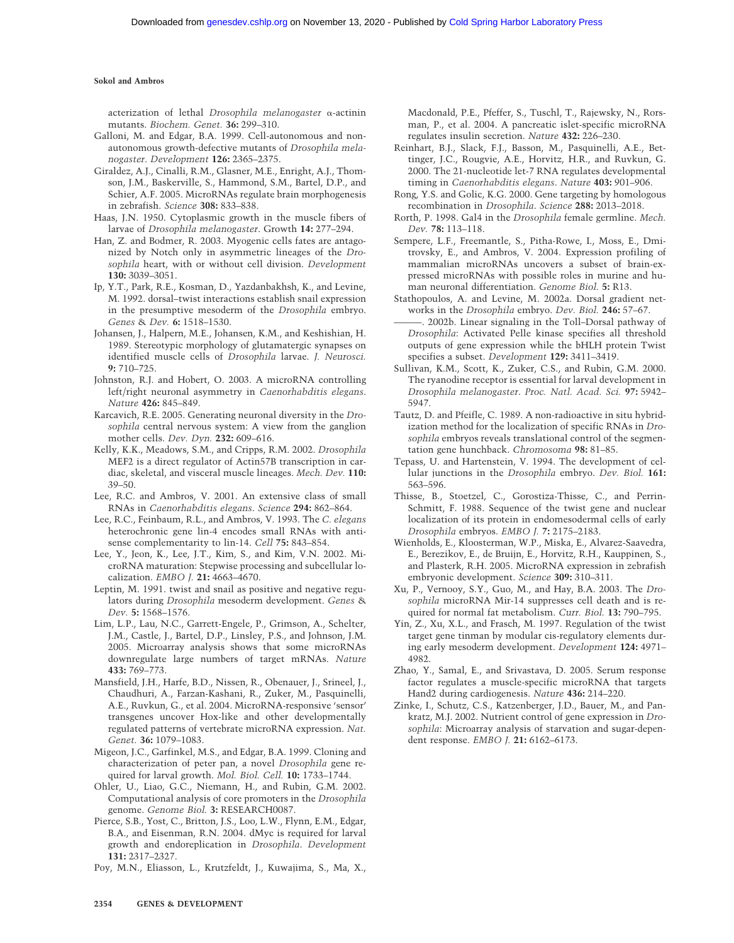acterization of lethal *Drosophila melanogaster*  $\alpha$ -actinin mutants. *Biochem. Genet.* **36:** 299–310.

- Galloni, M. and Edgar, B.A. 1999. Cell-autonomous and nonautonomous growth-defective mutants of *Drosophila melanogaster*. *Development* **126:** 2365–2375.
- Giraldez, A.J., Cinalli, R.M., Glasner, M.E., Enright, A.J., Thomson, J.M., Baskerville, S., Hammond, S.M., Bartel, D.P., and Schier, A.F. 2005. MicroRNAs regulate brain morphogenesis in zebrafish. *Science* **308:** 833–838.
- Haas, J.N. 1950. Cytoplasmic growth in the muscle fibers of larvae of *Drosophila melanogaster*. Growth **14:** 277–294.
- Han, Z. and Bodmer, R. 2003. Myogenic cells fates are antagonized by Notch only in asymmetric lineages of the *Drosophila* heart, with or without cell division. *Development* **130:** 3039–3051.
- Ip, Y.T., Park, R.E., Kosman, D., Yazdanbakhsh, K., and Levine, M. 1992. dorsal–twist interactions establish snail expression in the presumptive mesoderm of the *Drosophila* embryo. *Genes* & *Dev.* **6:** 1518–1530.
- Johansen, J., Halpern, M.E., Johansen, K.M., and Keshishian, H. 1989. Stereotypic morphology of glutamatergic synapses on identified muscle cells of *Drosophila* larvae. *J. Neurosci.* **9:** 710–725.
- Johnston, R.J. and Hobert, O. 2003. A microRNA controlling left/right neuronal asymmetry in *Caenorhabditis elegans*. *Nature* **426:** 845–849.
- Karcavich, R.E. 2005. Generating neuronal diversity in the *Drosophila* central nervous system: A view from the ganglion mother cells. *Dev. Dyn.* **232:** 609–616.
- Kelly, K.K., Meadows, S.M., and Cripps, R.M. 2002. *Drosophila* MEF2 is a direct regulator of Actin57B transcription in cardiac, skeletal, and visceral muscle lineages. *Mech. Dev.* **110:** 39–50.
- Lee, R.C. and Ambros, V. 2001. An extensive class of small RNAs in *Caenorhabditis elegans*. *Science* **294:** 862–864.
- Lee, R.C., Feinbaum, R.L., and Ambros, V. 1993. The *C. elegans* heterochronic gene lin-4 encodes small RNAs with antisense complementarity to lin-14. *Cell* **75:** 843–854.
- Lee, Y., Jeon, K., Lee, J.T., Kim, S., and Kim, V.N. 2002. MicroRNA maturation: Stepwise processing and subcellular localization. *EMBO J.* **21:** 4663–4670.
- Leptin, M. 1991. twist and snail as positive and negative regulators during *Drosophila* mesoderm development. *Genes* & *Dev.* **5:** 1568–1576.
- Lim, L.P., Lau, N.C., Garrett-Engele, P., Grimson, A., Schelter, J.M., Castle, J., Bartel, D.P., Linsley, P.S., and Johnson, J.M. 2005. Microarray analysis shows that some microRNAs downregulate large numbers of target mRNAs. *Nature* **433:** 769–773.
- Mansfield, J.H., Harfe, B.D., Nissen, R., Obenauer, J., Srineel, J., Chaudhuri, A., Farzan-Kashani, R., Zuker, M., Pasquinelli, A.E., Ruvkun, G., et al. 2004. MicroRNA-responsive 'sensor' transgenes uncover Hox-like and other developmentally regulated patterns of vertebrate microRNA expression. *Nat. Genet.* **36:** 1079–1083.
- Migeon, J.C., Garfinkel, M.S., and Edgar, B.A. 1999. Cloning and characterization of peter pan, a novel *Drosophila* gene required for larval growth. *Mol. Biol. Cell.* **10:** 1733–1744.
- Ohler, U., Liao, G.C., Niemann, H., and Rubin, G.M. 2002. Computational analysis of core promoters in the *Drosophila* genome. *Genome Biol.* **3:** RESEARCH0087.
- Pierce, S.B., Yost, C., Britton, J.S., Loo, L.W., Flynn, E.M., Edgar, B.A., and Eisenman, R.N. 2004. dMyc is required for larval growth and endoreplication in *Drosophila*. *Development* **131:** 2317–2327.
- Poy, M.N., Eliasson, L., Krutzfeldt, J., Kuwajima, S., Ma, X.,

Macdonald, P.E., Pfeffer, S., Tuschl, T., Rajewsky, N., Rorsman, P., et al. 2004. A pancreatic islet-specific microRNA regulates insulin secretion. *Nature* **432:** 226–230.

- Reinhart, B.J., Slack, F.J., Basson, M., Pasquinelli, A.E., Bettinger, J.C., Rougvie, A.E., Horvitz, H.R., and Ruvkun, G. 2000. The 21-nucleotide let-7 RNA regulates developmental timing in *Caenorhabditis elegans*. *Nature* **403:** 901–906.
- Rong, Y.S. and Golic, K.G. 2000. Gene targeting by homologous recombination in *Drosophila*. *Science* **288:** 2013–2018.
- Rorth, P. 1998. Gal4 in the *Drosophila* female germline. *Mech. Dev.* **78:** 113–118.
- Sempere, L.F., Freemantle, S., Pitha-Rowe, I., Moss, E., Dmitrovsky, E., and Ambros, V. 2004. Expression profiling of mammalian microRNAs uncovers a subset of brain-expressed microRNAs with possible roles in murine and human neuronal differentiation. *Genome Biol.* **5:** R13.
- Stathopoulos, A. and Levine, M. 2002a. Dorsal gradient networks in the *Drosophila* embryo. *Dev. Biol.* **246:** 57–67.
- 2002b. Linear signaling in the Toll-Dorsal pathway of *Drosophila*: Activated Pelle kinase specifies all threshold outputs of gene expression while the bHLH protein Twist specifies a subset. *Development* **129:** 3411–3419.
- Sullivan, K.M., Scott, K., Zuker, C.S., and Rubin, G.M. 2000. The ryanodine receptor is essential for larval development in *Drosophila melanogaster*. *Proc. Natl. Acad. Sci.* **97:** 5942– 5947.
- Tautz, D. and Pfeifle, C. 1989. A non-radioactive in situ hybridization method for the localization of specific RNAs in *Drosophila* embryos reveals translational control of the segmentation gene hunchback. *Chromosoma* **98:** 81–85.
- Tepass, U. and Hartenstein, V. 1994. The development of cellular junctions in the *Drosophila* embryo. *Dev. Biol.* **161:** 563–596.
- Thisse, B., Stoetzel, C., Gorostiza-Thisse, C., and Perrin-Schmitt, F. 1988. Sequence of the twist gene and nuclear localization of its protein in endomesodermal cells of early *Drosophila* embryos. *EMBO J.* **7:** 2175–2183.
- Wienholds, E., Kloosterman, W.P., Miska, E., Alvarez-Saavedra, E., Berezikov, E., de Bruijn, E., Horvitz, R.H., Kauppinen, S., and Plasterk, R.H. 2005. MicroRNA expression in zebrafish embryonic development. *Science* **309:** 310–311.
- Xu, P., Vernooy, S.Y., Guo, M., and Hay, B.A. 2003. The *Drosophila* microRNA Mir-14 suppresses cell death and is required for normal fat metabolism. *Curr. Biol.* **13:** 790–795.
- Yin, Z., Xu, X.L., and Frasch, M. 1997. Regulation of the twist target gene tinman by modular cis-regulatory elements during early mesoderm development. *Development* **124:** 4971– 4982.
- Zhao, Y., Samal, E., and Srivastava, D. 2005. Serum response factor regulates a muscle-specific microRNA that targets Hand2 during cardiogenesis. *Nature* **436:** 214–220.
- Zinke, I., Schutz, C.S., Katzenberger, J.D., Bauer, M., and Pankratz, M.J. 2002. Nutrient control of gene expression in *Drosophila*: Microarray analysis of starvation and sugar-dependent response. *EMBO J.* **21:** 6162–6173.